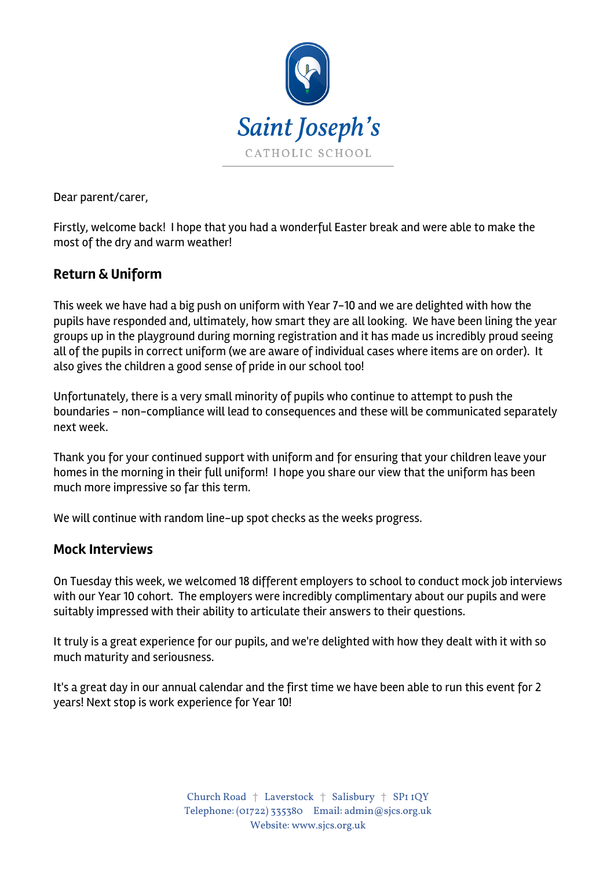

Dear parent/carer,

Firstly, welcome back! I hope that you had a wonderful Easter break and were able to make the most of the dry and warm weather!

# **Return & Uniform**

This week we have had a big push on uniform with Year 7-10 and we are delighted with how the pupils have responded and, ultimately, how smart they are all looking. We have been lining the year groups up in the playground during morning registration and it has made us incredibly proud seeing all of the pupils in correct uniform (we are aware of individual cases where items are on order). It also gives the children a good sense of pride in our school too!

Unfortunately, there is a very small minority of pupils who continue to attempt to push the boundaries - non-compliance will lead to consequences and these will be communicated separately next week.

Thank you for your continued support with uniform and for ensuring that your children leave your homes in the morning in their full uniform! I hope you share our view that the uniform has been much more impressive so far this term.

We will continue with random line-up spot checks as the weeks progress.

#### **Mock Interviews**

On Tuesday this week, we welcomed 18 different employers to school to conduct mock job interviews with our Year 10 cohort. The employers were incredibly complimentary about our pupils and were suitably impressed with their ability to articulate their answers to their questions.

It truly is a great experience for our pupils, and we're delighted with how they dealt with it with so much maturity and seriousness.

It's a great day in our annual calendar and the first time we have been able to run this event for 2 years! Next stop is work experience for Year 10!

> Church Road † Laverstock † Salisbury † SP1 1QY Telephone: (01722) 335380 Email: admin@sjcs.org.uk Website: www.sjcs.org.uk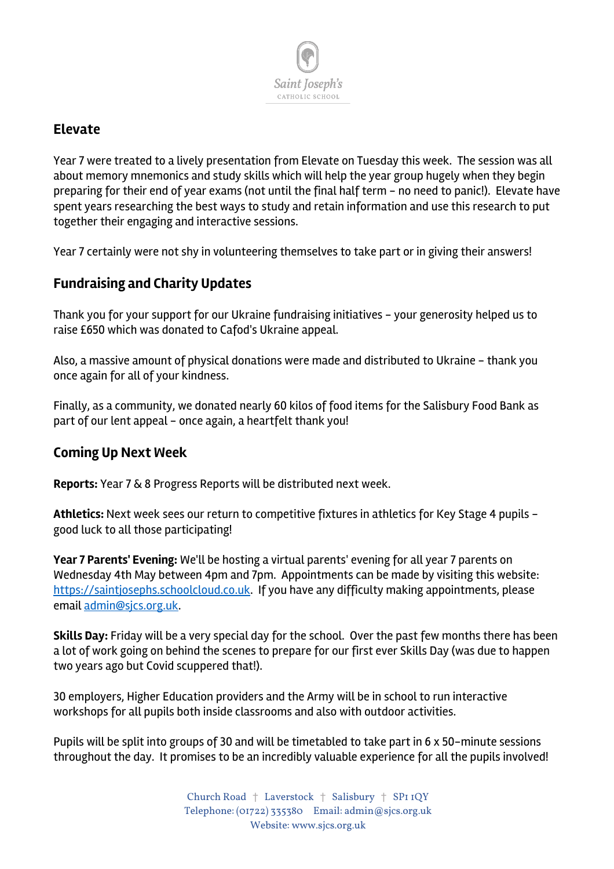

### **Elevate**

Year 7 were treated to a lively presentation from Elevate on Tuesday this week. The session was all about memory mnemonics and study skills which will help the year group hugely when they begin preparing for their end of year exams (not until the final half term - no need to panic!). Elevate have spent years researching the best ways to study and retain information and use this research to put together their engaging and interactive sessions.

Year 7 certainly were not shy in volunteering themselves to take part or in giving their answers!

# **Fundraising and Charity Updates**

Thank you for your support for our Ukraine fundraising initiatives - your generosity helped us to raise £650 which was donated to Cafod's Ukraine appeal.

Also, a massive amount of physical donations were made and distributed to Ukraine - thank you once again for all of your kindness.

Finally, as a community, we donated nearly 60 kilos of food items for the Salisbury Food Bank as part of our lent appeal - once again, a heartfelt thank you!

#### **Coming Up Next Week**

**Reports:** Year 7 & 8 Progress Reports will be distributed next week.

**Athletics:** Next week sees our return to competitive fixtures in athletics for Key Stage 4 pupils good luck to all those participating!

**Year 7 Parents' Evening:** We'll be hosting a virtual parents' evening for all year 7 parents on Wednesday 4th May between 4pm and 7pm. Appointments can be made by visiting this website: https://saintjosephs.schoolcloud.co.uk. If you have any difficulty making appointments, please email admin@sjcs.org.uk.

**Skills Day:** Friday will be a very special day for the school. Over the past few months there has been a lot of work going on behind the scenes to prepare for our first ever Skills Day (was due to happen two years ago but Covid scuppered that!).

30 employers, Higher Education providers and the Army will be in school to run interactive workshops for all pupils both inside classrooms and also with outdoor activities.

Pupils will be split into groups of 30 and will be timetabled to take part in 6 x 50-minute sessions throughout the day. It promises to be an incredibly valuable experience for all the pupils involved!